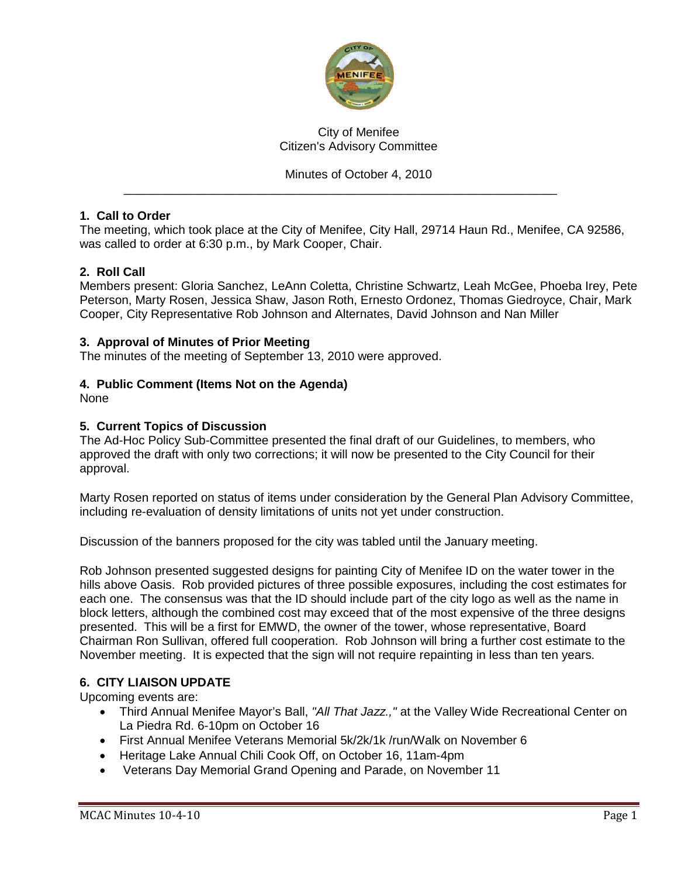

## City of Menifee Citizen's Advisory Committee

## Minutes of October 4, 2010

\_\_\_\_\_\_\_\_\_\_\_\_\_\_\_\_\_\_\_\_\_\_\_\_\_\_\_\_\_\_\_\_\_\_\_\_\_\_\_\_\_\_\_\_\_\_\_\_\_\_\_\_\_\_\_\_\_\_\_\_\_\_\_\_

## **1. Call to Order**

The meeting, which took place at the City of Menifee, City Hall, 29714 Haun Rd., Menifee, CA 92586, was called to order at 6:30 p.m., by Mark Cooper, Chair.

## **2. Roll Call**

Members present: Gloria Sanchez, LeAnn Coletta, Christine Schwartz, Leah McGee, Phoeba Irey, Pete Peterson, Marty Rosen, Jessica Shaw, Jason Roth, Ernesto Ordonez, Thomas Giedroyce, Chair, Mark Cooper, City Representative Rob Johnson and Alternates, David Johnson and Nan Miller

#### **3. Approval of Minutes of Prior Meeting**

The minutes of the meeting of September 13, 2010 were approved.

#### **4. Public Comment (Items Not on the Agenda)**

None

#### **5. Current Topics of Discussion**

The Ad-Hoc Policy Sub-Committee presented the final draft of our Guidelines, to members, who approved the draft with only two corrections; it will now be presented to the City Council for their approval.

Marty Rosen reported on status of items under consideration by the General Plan Advisory Committee, including re-evaluation of density limitations of units not yet under construction.

Discussion of the banners proposed for the city was tabled until the January meeting.

Rob Johnson presented suggested designs for painting City of Menifee ID on the water tower in the hills above Oasis. Rob provided pictures of three possible exposures, including the cost estimates for each one. The consensus was that the ID should include part of the city logo as well as the name in block letters, although the combined cost may exceed that of the most expensive of the three designs presented. This will be a first for EMWD, the owner of the tower, whose representative, Board Chairman Ron Sullivan, offered full cooperation. Rob Johnson will bring a further cost estimate to the November meeting. It is expected that the sign will not require repainting in less than ten years.

## **6. CITY LIAISON UPDATE**

Upcoming events are:

- Third Annual Menifee Mayor's Ball, *"All That Jazz.,"* at the Valley Wide Recreational Center on La Piedra Rd. 6-10pm on October 16
- First Annual Menifee Veterans Memorial 5k/2k/1k /run/Walk on November 6
- Heritage Lake Annual Chili Cook Off, on October 16, 11am-4pm
- Veterans Day Memorial Grand Opening and Parade, on November 11